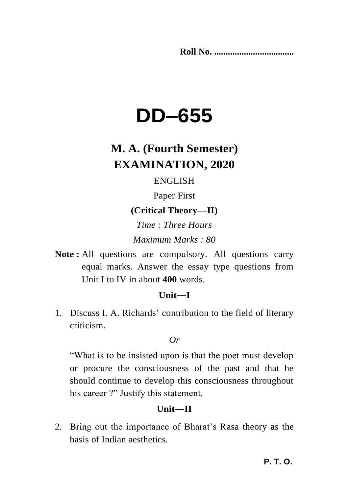**Roll No. ...................................** 

# **DD–655**

# **M. A. (Fourth Semester) EXAMINATION, 2020**

# ENGLISH

Paper First

# **(Critical Theory—II)**

*Time : Three Hours Maximum Marks : 80*

**Note :** All questions are compulsory. All questions carry equal marks. Answer the essay type questions from Unit I to IV in about **400** words.

## **Unit—I**

1. Discuss I. A. Richards" contribution to the field of literary criticism.

#### *Or*

"What is to be insisted upon is that the poet must develop or procure the consciousness of the past and that he should continue to develop this consciousness throughout his career ?" Justify this statement.

# **Unit—II**

2. Bring out the importance of Bharat"s Rasa theory as the basis of Indian aesthetics.